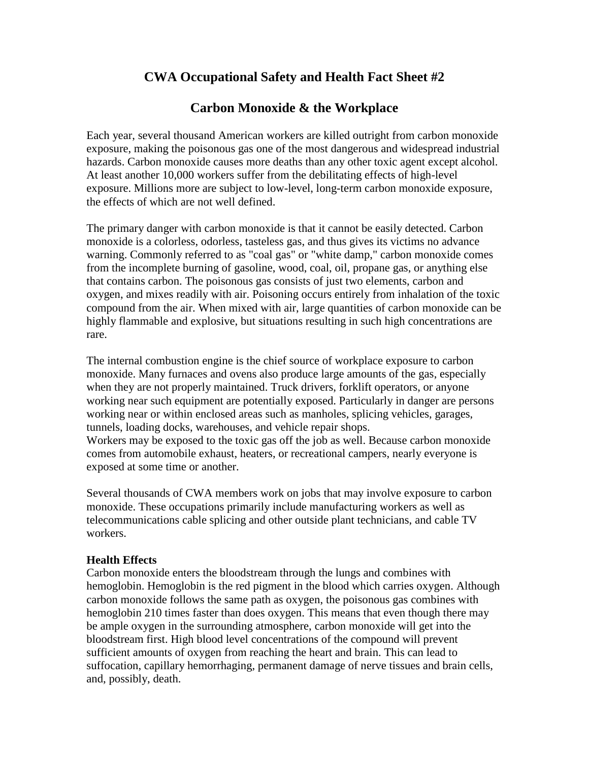# **CWA Occupational Safety and Health Fact Sheet #2**

## **Carbon Monoxide & the Workplace**

Each year, several thousand American workers are killed outright from carbon monoxide exposure, making the poisonous gas one of the most dangerous and widespread industrial hazards. Carbon monoxide causes more deaths than any other toxic agent except alcohol. At least another 10,000 workers suffer from the debilitating effects of high-level exposure. Millions more are subject to low-level, long-term carbon monoxide exposure, the effects of which are not well defined.

The primary danger with carbon monoxide is that it cannot be easily detected. Carbon monoxide is a colorless, odorless, tasteless gas, and thus gives its victims no advance warning. Commonly referred to as "coal gas" or "white damp," carbon monoxide comes from the incomplete burning of gasoline, wood, coal, oil, propane gas, or anything else that contains carbon. The poisonous gas consists of just two elements, carbon and oxygen, and mixes readily with air. Poisoning occurs entirely from inhalation of the toxic compound from the air. When mixed with air, large quantities of carbon monoxide can be highly flammable and explosive, but situations resulting in such high concentrations are rare.

The internal combustion engine is the chief source of workplace exposure to carbon monoxide. Many furnaces and ovens also produce large amounts of the gas, especially when they are not properly maintained. Truck drivers, forklift operators, or anyone working near such equipment are potentially exposed. Particularly in danger are persons working near or within enclosed areas such as manholes, splicing vehicles, garages, tunnels, loading docks, warehouses, and vehicle repair shops.

Workers may be exposed to the toxic gas off the job as well. Because carbon monoxide comes from automobile exhaust, heaters, or recreational campers, nearly everyone is exposed at some time or another.

Several thousands of CWA members work on jobs that may involve exposure to carbon monoxide. These occupations primarily include manufacturing workers as well as telecommunications cable splicing and other outside plant technicians, and cable TV workers.

## **Health Effects**

Carbon monoxide enters the bloodstream through the lungs and combines with hemoglobin. Hemoglobin is the red pigment in the blood which carries oxygen. Although carbon monoxide follows the same path as oxygen, the poisonous gas combines with hemoglobin 210 times faster than does oxygen. This means that even though there may be ample oxygen in the surrounding atmosphere, carbon monoxide will get into the bloodstream first. High blood level concentrations of the compound will prevent sufficient amounts of oxygen from reaching the heart and brain. This can lead to suffocation, capillary hemorrhaging, permanent damage of nerve tissues and brain cells, and, possibly, death.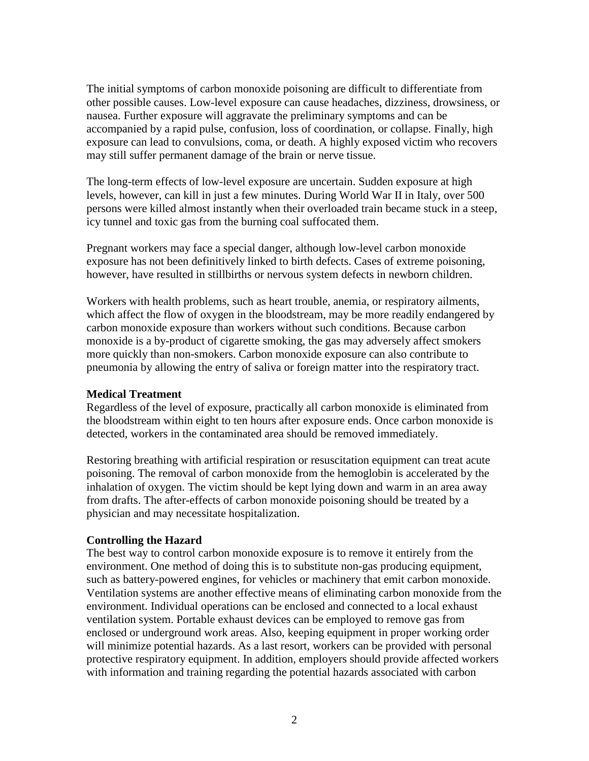The initial symptoms of carbon monoxide poisoning are difficult to differentiate from other possible causes. Low-level exposure can cause headaches, dizziness, drowsiness, or nausea. Further exposure will aggravate the preliminary symptoms and can be accompanied by a rapid pulse, confusion, loss of coordination, or collapse. Finally, high exposure can lead to convulsions, coma, or death. A highly exposed victim who recovers may still suffer permanent damage of the brain or nerve tissue.

The long-term effects of low-level exposure are uncertain. Sudden exposure at high levels, however, can kill in just a few minutes. During World War II in Italy, over 500 persons were killed almost instantly when their overloaded train became stuck in a steep, icy tunnel and toxic gas from the burning coal suffocated them.

Pregnant workers may face a special danger, although low-level carbon monoxide exposure has not been definitively linked to birth defects. Cases of extreme poisoning, however, have resulted in stillbirths or nervous system defects in newborn children.

Workers with health problems, such as heart trouble, anemia, or respiratory ailments, which affect the flow of oxygen in the bloodstream, may be more readily endangered by carbon monoxide exposure than workers without such conditions. Because carbon monoxide is a by-product of cigarette smoking, the gas may adversely affect smokers more quickly than non-smokers. Carbon monoxide exposure can also contribute to pneumonia by allowing the entry of saliva or foreign matter into the respiratory tract.

#### **Medical Treatment**

Regardless of the level of exposure, practically all carbon monoxide is eliminated from the bloodstream within eight to ten hours after exposure ends. Once carbon monoxide is detected, workers in the contaminated area should be removed immediately.

Restoring breathing with artificial respiration or resuscitation equipment can treat acute poisoning. The removal of carbon monoxide from the hemoglobin is accelerated by the inhalation of oxygen. The victim should be kept lying down and warm in an area away from drafts. The after-effects of carbon monoxide poisoning should be treated by a physician and may necessitate hospitalization.

#### **Controlling the Hazard**

The best way to control carbon monoxide exposure is to remove it entirely from the environment. One method of doing this is to substitute non-gas producing equipment, such as battery-powered engines, for vehicles or machinery that emit carbon monoxide. Ventilation systems are another effective means of eliminating carbon monoxide from the environment. Individual operations can be enclosed and connected to a local exhaust ventilation system. Portable exhaust devices can be employed to remove gas from enclosed or underground work areas. Also, keeping equipment in proper working order will minimize potential hazards. As a last resort, workers can be provided with personal protective respiratory equipment. In addition, employers should provide affected workers with information and training regarding the potential hazards associated with carbon